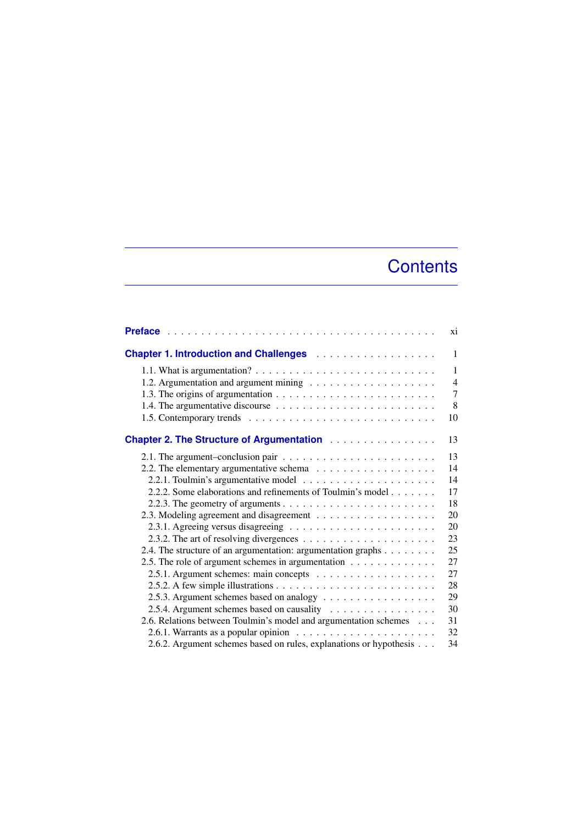## **Contents**

|                                                                                  | xi             |
|----------------------------------------------------------------------------------|----------------|
|                                                                                  | $\mathbf{1}$   |
|                                                                                  | $\mathbf{1}$   |
|                                                                                  | $\overline{4}$ |
|                                                                                  | 7              |
|                                                                                  | 8              |
|                                                                                  | 10             |
| <b>Chapter 2. The Structure of Argumentation Actual Activities</b>               | 13             |
|                                                                                  | 13             |
|                                                                                  | 14             |
|                                                                                  | 14             |
| 2.2.2. Some elaborations and refinements of Toulmin's model                      | 17             |
|                                                                                  | 18             |
|                                                                                  | 20             |
|                                                                                  | 20             |
|                                                                                  | 23             |
| 2.4. The structure of an argumentation: argumentation graphs                     | 25             |
| 2.5. The role of argument schemes in argumentation                               | 27             |
|                                                                                  | 27             |
|                                                                                  | 28             |
|                                                                                  | 29             |
| 2.5.4. Argument schemes based on causality                                       | 30             |
| 2.6. Relations between Toulmin's model and argumentation schemes                 | 31             |
| 2.6.1. Warrants as a popular opinion $\ldots \ldots \ldots \ldots \ldots \ldots$ | 32             |
| 2.6.2. Argument schemes based on rules, explanations or hypothesis               | 34             |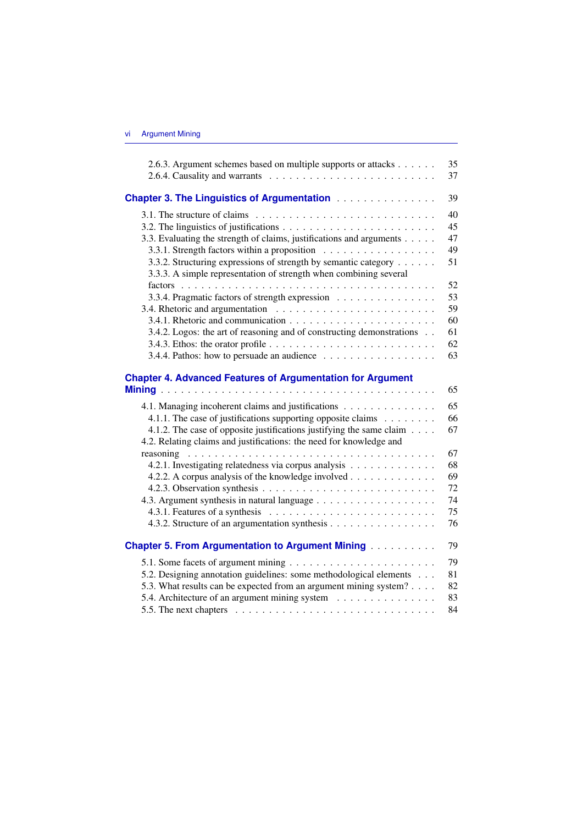| 2.6.3. Argument schemes based on multiple supports or attacks                                          | 35 |
|--------------------------------------------------------------------------------------------------------|----|
|                                                                                                        | 37 |
|                                                                                                        | 39 |
| 3.1. The structure of claims $\ldots \ldots \ldots \ldots \ldots \ldots \ldots \ldots \ldots$          | 40 |
|                                                                                                        | 45 |
| 3.3. Evaluating the strength of claims, justifications and arguments                                   | 47 |
| 3.3.1. Strength factors within a proposition                                                           | 49 |
| 3.3.2. Structuring expressions of strength by semantic category                                        | 51 |
| 3.3.3. A simple representation of strength when combining several                                      |    |
|                                                                                                        | 52 |
| 3.3.4. Pragmatic factors of strength expression                                                        | 53 |
|                                                                                                        | 59 |
|                                                                                                        | 60 |
| 3.4.2. Logos: the art of reasoning and of constructing demonstrations                                  | 61 |
|                                                                                                        | 62 |
|                                                                                                        | 63 |
| <b>Chapter 4. Advanced Features of Argumentation for Argument</b>                                      |    |
|                                                                                                        | 65 |
| 4.1. Managing incoherent claims and justifications                                                     | 65 |
| 4.1.1. The case of justifications supporting opposite claims $\dots \dots$                             | 66 |
| 4.1.2. The case of opposite justifications justifying the same claim                                   | 67 |
| 4.2. Relating claims and justifications: the need for knowledge and                                    |    |
|                                                                                                        | 67 |
| 4.2.1. Investigating relatedness via corpus analysis                                                   | 68 |
| 4.2.2. A corpus analysis of the knowledge involved                                                     | 69 |
|                                                                                                        | 72 |
|                                                                                                        | 74 |
|                                                                                                        | 75 |
| 4.3.2. Structure of an argumentation synthesis                                                         | 76 |
| <b>Chapter 5. From Argumentation to Argument Mining </b>                                               | 79 |
|                                                                                                        | 79 |
| 5.2. Designing annotation guidelines: some methodological elements                                     | 81 |
| 5.3. What results can be expected from an argument mining system?                                      | 82 |
| 5.4. Architecture of an argument mining system                                                         | 83 |
| 5.5. The next chapters $\dots \dots \dots \dots \dots \dots \dots \dots \dots \dots \dots \dots \dots$ | 84 |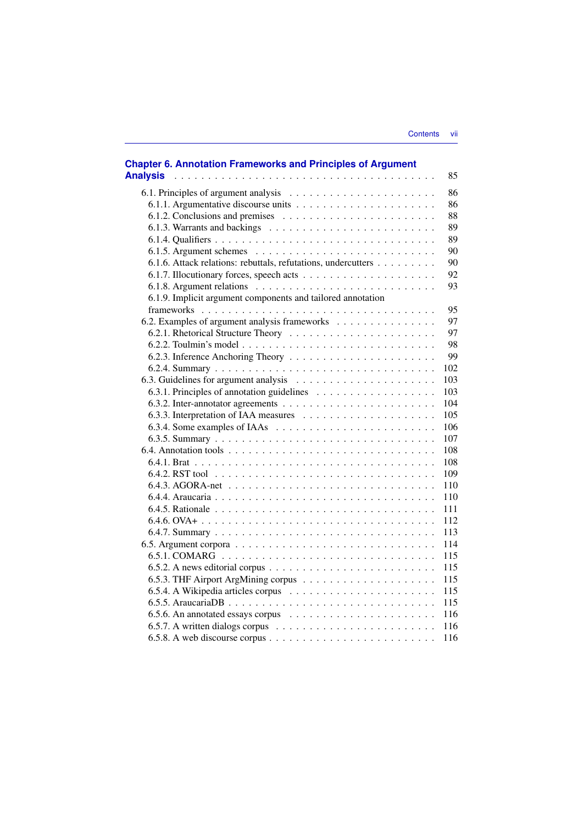| <b>Chapter 6. Annotation Frameworks and Principles of Argument</b><br><b>Analysis</b>        | 85  |
|----------------------------------------------------------------------------------------------|-----|
|                                                                                              | 86  |
|                                                                                              | 86  |
| 6.1.2. Conclusions and premises $\ldots \ldots \ldots \ldots \ldots \ldots \ldots$           | 88  |
|                                                                                              | 89  |
|                                                                                              | 89  |
|                                                                                              | 90  |
| 6.1.6. Attack relations: rebuttals, refutations, undercutters                                | 90  |
|                                                                                              | 92  |
|                                                                                              | 93  |
| 6.1.9. Implicit argument components and tailored annotation                                  |     |
|                                                                                              | 95  |
| 6.2. Examples of argument analysis frameworks                                                | 97  |
|                                                                                              | 97  |
|                                                                                              | 98  |
|                                                                                              | 99  |
|                                                                                              | 102 |
|                                                                                              | 103 |
|                                                                                              | 103 |
|                                                                                              | 104 |
|                                                                                              | 105 |
|                                                                                              | 106 |
|                                                                                              | 107 |
|                                                                                              | 108 |
|                                                                                              | 108 |
|                                                                                              | 109 |
|                                                                                              | 110 |
|                                                                                              | 110 |
|                                                                                              | 111 |
|                                                                                              | 112 |
|                                                                                              | 113 |
|                                                                                              | 114 |
|                                                                                              | 115 |
| 6.5.2. A news editorial corpus $\dots \dots \dots \dots \dots \dots \dots \dots \dots \dots$ | 115 |
|                                                                                              | 115 |
|                                                                                              | 115 |
|                                                                                              | 115 |
|                                                                                              | 116 |
|                                                                                              | 116 |
|                                                                                              | 116 |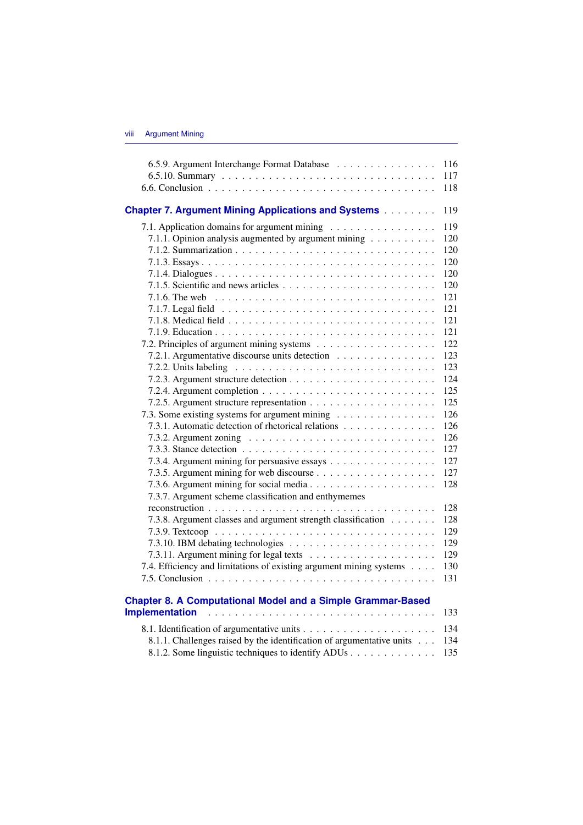| 6.5.9. Argument Interchange Format Database                                                                                                                                                                                                                                                                   | 116                                                                       |
|---------------------------------------------------------------------------------------------------------------------------------------------------------------------------------------------------------------------------------------------------------------------------------------------------------------|---------------------------------------------------------------------------|
|                                                                                                                                                                                                                                                                                                               | 117                                                                       |
|                                                                                                                                                                                                                                                                                                               | 118                                                                       |
| <b>Chapter 7. Argument Mining Applications and Systems</b>                                                                                                                                                                                                                                                    | 119                                                                       |
| 7.1. Application domains for argument mining                                                                                                                                                                                                                                                                  | 119                                                                       |
| 7.1.1. Opinion analysis augmented by argument mining $\ldots \ldots \ldots$                                                                                                                                                                                                                                   | 120                                                                       |
|                                                                                                                                                                                                                                                                                                               | 120                                                                       |
|                                                                                                                                                                                                                                                                                                               | 120                                                                       |
|                                                                                                                                                                                                                                                                                                               | 120                                                                       |
|                                                                                                                                                                                                                                                                                                               | 120                                                                       |
| 7.1.6. The web $\ldots \ldots \ldots \ldots \ldots \ldots \ldots \ldots \ldots \ldots \ldots \ldots$                                                                                                                                                                                                          | 121                                                                       |
|                                                                                                                                                                                                                                                                                                               | 121                                                                       |
|                                                                                                                                                                                                                                                                                                               | 121                                                                       |
|                                                                                                                                                                                                                                                                                                               | 121                                                                       |
|                                                                                                                                                                                                                                                                                                               | 122                                                                       |
| 7.2.1. Argumentative discourse units detection                                                                                                                                                                                                                                                                | 123                                                                       |
| 7.2.2. Units labeling $\ldots \ldots \ldots \ldots \ldots \ldots \ldots \ldots \ldots \ldots$<br>7.3. Some existing systems for argument mining<br>7.3.1. Automatic detection of rhetorical relations<br>7.3.4. Argument mining for persuasive essays<br>7.3.7. Argument scheme classification and enthymemes | 123<br>124<br>125<br>125<br>126<br>126<br>126<br>127<br>127<br>127<br>128 |
|                                                                                                                                                                                                                                                                                                               | 128                                                                       |
| 7.3.8. Argument classes and argument strength classification                                                                                                                                                                                                                                                  | 128                                                                       |
|                                                                                                                                                                                                                                                                                                               | 129                                                                       |
|                                                                                                                                                                                                                                                                                                               | 129                                                                       |
|                                                                                                                                                                                                                                                                                                               | 129                                                                       |
| 7.4. Efficiency and limitations of existing argument mining systems                                                                                                                                                                                                                                           | 130                                                                       |
|                                                                                                                                                                                                                                                                                                               | 131                                                                       |
| <b>Chapter 8. A Computational Model and a Simple Grammar-Based</b><br><b>Implementation</b>                                                                                                                                                                                                                   | 133                                                                       |
|                                                                                                                                                                                                                                                                                                               | 134                                                                       |
| 8.1.1. Challenges raised by the identification of argumentative units                                                                                                                                                                                                                                         | 134                                                                       |
| 8.1.2. Some linguistic techniques to identify ADUs                                                                                                                                                                                                                                                            | 135                                                                       |